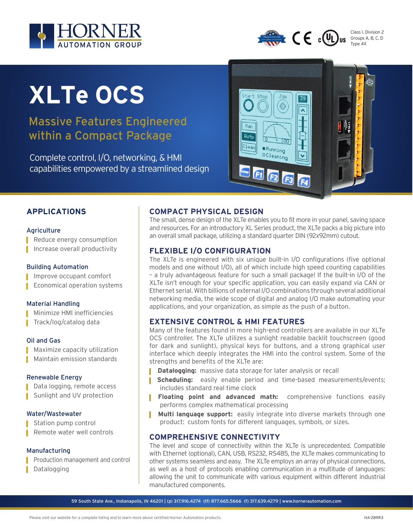



Class I, Division 2 Groups A, B, C, D Type 4X

# **XLTe OCS**

Massive Features Engineered within a Compact Package

Complete control, I/O, networking, & HMI capabilities empowered by a streamlined design



### **APPLICATIONS**

#### Agriculture

■ Reduce energy consumption

▌ Increase overall productivity

#### Building Automation

▌ Improve occupant comfort

■ Economical operation systems

#### Material Handling

Minimize HMI inefficiencies ▌ Track/log/catalog data

#### Oil and Gas

■ Maximize capacity utilization

▌ Maintain emission standards

#### Renewable Energy

▌ Data logging, remote access ■ Sunlight and UV protection

#### Water/Wastewater

Station pump control

■ Remote water well controls

#### Manufacturing

- ▌ Production management and control
- ▌ Datalogging

#### **COMPACT PHYSICAL DESIGN**

The small, dense design of the XLTe enables you to fit more in your panel, saving space and resources. For an introductory XL Series product, the XLTe packs a big picture into an overall small package, utilizing a standard quarter DIN (92x92mm) cutout.

#### **FLEXIBLE I/O CONFIGURATION**

The XLTe is engineered with six unique built-in I/O configurations (five optional models and one without I/O), all of which include high speed counting capabilities – a truly advantageous feature for such a small package! If the built-in I/O of the XLTe isn't enough for your specific application, you can easily expand via CAN or Ethernet serial. With billions of external I/O combinations through several additional networking media, the wide scope of digital and analog I/O make automating your applications, and your organization, as simple as the push of a button.

#### **EXTENSIVE CONTROL & HMI FEATURES**

Many of the features found in more high-end controllers are available in our XLTe OCS controller. The XLTe utilizes a sunlight readable backlit touchscreen (good for dark and sunlight), physical keys for buttons, and a strong graphical user interface which deeply integrates the HMI into the control system. Some of the strengths and benefits of the XLTe are:

- **Datalogging:** massive data storage for later analysis or recall
- **Scheduling:** easily enable period and time-based measurements/events; includes standard real time clock
- **Floating point and advanced math:** comprehensive functions easily performs complex mathematical processing
- **Multi language support:** easily integrate into diverse markets through one product: custom fonts for different languages, symbols, or sizes.

#### **COMPREHENSIVE CONNECTIVITY**

The level and scope of connectivity within the XLTe is unprecedented. Compatible with Ethernet (optional), CAN, USB, RS232, RS485, the XLTe makes communicating to other systems seamless and easy. The XLTe employs an array of physical connections, as well as a host of protocols enabling communication in a multitude of languages: allowing the unit to communicate with various equipment within different industrial manufactured components.

59 South State Ave., Indianapolis, IN 46201 | (p) 317.916.4274 (tf) 877.665.5666 (f) 317.639.4279 | www.hornerautomation.com